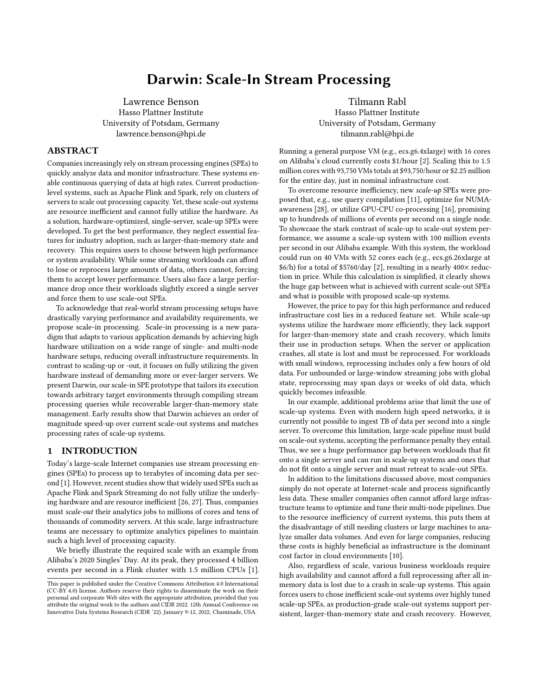# Darwin: Scale-In Stream Processing

Lawrence Benson Hasso Plattner Institute University of Potsdam, Germany lawrence.benson@hpi.de

Tilmann Rabl Hasso Plattner Institute University of Potsdam, Germany tilmann.rabl@hpi.de

# ABSTRACT

Companies increasingly rely on stream processing engines (SPEs) to quickly analyze data and monitor infrastructure. These systems enable continuous querying of data at high rates. Current productionlevel systems, such as Apache Flink and Spark, rely on clusters of servers to scale out processing capacity. Yet, these scale-out systems are resource inefficient and cannot fully utilize the hardware. As a solution, hardware-optimized, single-server, scale-up SPEs were developed. To get the best performance, they neglect essential features for industry adoption, such as larger-than-memory state and recovery. This requires users to choose between high performance or system availability. While some streaming workloads can afford to lose or reprocess large amounts of data, others cannot, forcing them to accept lower performance. Users also face a large performance drop once their workloads slightly exceed a single server and force them to use scale-out SPEs.

To acknowledge that real-world stream processing setups have drastically varying performance and availability requirements, we propose scale-in processing. Scale-in processing is a new paradigm that adapts to various application demands by achieving high hardware utilization on a wide range of single- and multi-node hardware setups, reducing overall infrastructure requirements. In contrast to scaling-up or -out, it focuses on fully utilizing the given hardware instead of demanding more or ever-larger servers. We present Darwin, our scale-in SPE prototype that tailors its execution towards arbitrary target environments through compiling stream processing queries while recoverable larger-than-memory state management. Early results show that Darwin achieves an order of magnitude speed-up over current scale-out systems and matches processing rates of scale-up systems.

# 1 INTRODUCTION

Today's large-scale Internet companies use stream processing engines (SPEs) to process up to terabytes of incoming data per second [\[1\]](#page-6-0). However, recent studies show that widely used SPEs such as Apache Flink and Spark Streaming do not fully utilize the underlying hardware and are resource inefficient [\[26,](#page-6-1) [27\]](#page-6-2). Thus, companies must scale-out their analytics jobs to millions of cores and tens of thousands of commodity servers. At this scale, large infrastructure teams are necessary to optimize analytics pipelines to maintain such a high level of processing capacity.

We briefly illustrate the required scale with an example from Alibaba's 2020 Singles' Day. At its peak, they processed 4 billion events per second in a Flink cluster with 1.5 million CPUs [\[1\]](#page-6-0). Running a general purpose VM (e.g., ecs.g6.4xlarge) with 16 cores on Alibaba's cloud currently costs \$1/hour [\[2\]](#page-6-3). Scaling this to 1.5 million cores with 93,750 VMs totals at \$93,750/hour or \$2.25 million for the entire day, just in nominal infrastructure cost.

To overcome resource inefficiency, new scale-up SPEs were proposed that, e.g., use query compilation [\[11\]](#page-6-4), optimize for NUMAawareness [\[28\]](#page-6-5), or utilize GPU-CPU co-processing [\[16\]](#page-6-6), promising up to hundreds of millions of events per second on a single node. To showcase the stark contrast of scale-up to scale-out system performance, we assume a scale-up system with 100 million events per second in our Alibaba example. With this system, the workload could run on 40 VMs with 52 cores each (e.g., ecs.g6.26xlarge at \$6/h) for a total of \$5760/day [\[2\]](#page-6-3), resulting in a nearly 400× reduction in price. While this calculation is simplified, it clearly shows the huge gap between what is achieved with current scale-out SPEs and what is possible with proposed scale-up systems.

However, the price to pay for this high performance and reduced infrastructure cost lies in a reduced feature set. While scale-up systems utilize the hardware more efficiently, they lack support for larger-than-memory state and crash recovery, which limits their use in production setups. When the server or application crashes, all state is lost and must be reprocessed. For workloads with small windows, reprocessing includes only a few hours of old data. For unbounded or large-window streaming jobs with global state, reprocessing may span days or weeks of old data, which quickly becomes infeasible.

In our example, additional problems arise that limit the use of scale-up systems. Even with modern high speed networks, it is currently not possible to ingest TB of data per second into a single server. To overcome this limitation, large-scale pipeline must build on scale-out systems, accepting the performance penalty they entail. Thus, we see a huge performance gap between workloads that fit onto a single server and can run in scale-up systems and ones that do not fit onto a single server and must retreat to scale-out SPEs.

In addition to the limitations discussed above, most companies simply do not operate at Internet-scale and process significantly less data. These smaller companies often cannot afford large infrastructure teams to optimize and tune their multi-node pipelines. Due to the resource inefficiency of current systems, this puts them at the disadvantage of still needing clusters or large machines to analyze smaller data volumes. And even for large companies, reducing these costs is highly beneficial as infrastructure is the dominant cost factor in cloud environments [\[10\]](#page-6-7).

Also, regardless of scale, various business workloads require high availability and cannot afford a full reprocessing after all inmemory data is lost due to a crash in scale-up systems. This again forces users to chose inefficient scale-out systems over highly tuned scale-up SPEs, as production-grade scale-out systems support persistent, larger-than-memory state and crash recovery. However,

This paper is published under the Creative Commons Attribution 4.0 International (CC-BY 4.0) license. Authors reserve their rights to disseminate the work on their personal and corporate Web sites with the appropriate attribution, provided that you attribute the original work to the authors and CIDR 2022. 12th Annual Conference on Innovative Data Systems Research (CIDR '22). January 9-12, 2022, Chaminade, USA.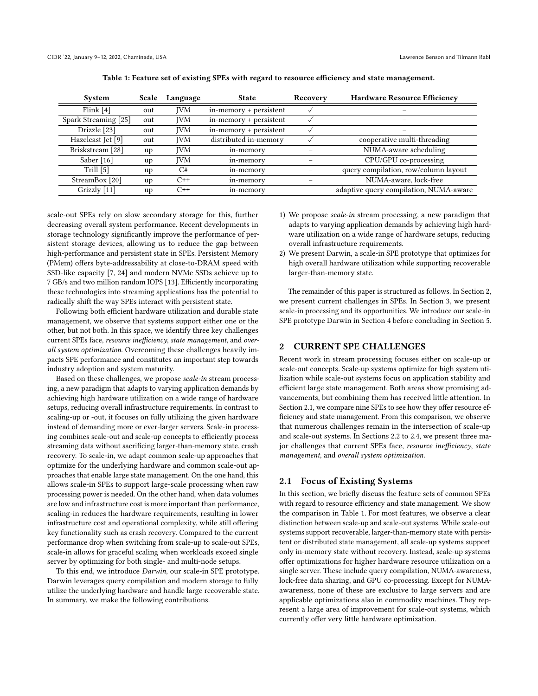<span id="page-1-2"></span>

| System               | Scale | Language   | <b>State</b>           | Recovery | <b>Hardware Resource Efficiency</b>    |  |
|----------------------|-------|------------|------------------------|----------|----------------------------------------|--|
| Flink [4]            | out   | <b>IVM</b> | in-memory + persistent |          |                                        |  |
| Spark Streaming [25] | out   | <b>IVM</b> | in-memory + persistent |          |                                        |  |
| Drizzle [23]         | out   | <b>IVM</b> | in-memory + persistent |          |                                        |  |
| Hazelcast Jet [9]    | out   | <b>IVM</b> | distributed in-memory  |          | cooperative multi-threading            |  |
| Briskstream [28]     | up    | <b>IVM</b> | in-memory              |          | NUMA-aware scheduling                  |  |
| Saber $[16]$         | up    | <b>IVM</b> | in-memory              |          | CPU/GPU co-processing                  |  |
| Trill $[5]$          | up    | C#         | in-memory              |          | query compilation, row/column layout   |  |
| StreamBox [20]       | up    | $C++$      | in-memory              |          | NUMA-aware, lock-free                  |  |
| Grizzly [11]         | up    | $C++$      | in-memory              |          | adaptive query compilation, NUMA-aware |  |

| Table 1: Feature set of existing SPEs with regard to resource efficiency and state management. |  |  |
|------------------------------------------------------------------------------------------------|--|--|
|                                                                                                |  |  |

scale-out SPEs rely on slow secondary storage for this, further decreasing overall system performance. Recent developments in storage technology significantly improve the performance of persistent storage devices, allowing us to reduce the gap between high-performance and persistent state in SPEs. Persistent Memory (PMem) offers byte-addressability at close-to-DRAM speed with SSD-like capacity [\[7,](#page-6-14) [24\]](#page-6-15) and modern NVMe SSDs achieve up to 7 GB/s and two million random IOPS [\[13\]](#page-6-16). Efficiently incorporating these technologies into streaming applications has the potential to radically shift the way SPEs interact with persistent state.

Following both efficient hardware utilization and durable state management, we observe that systems support either one or the other, but not both. In this space, we identify three key challenges current SPEs face, resource inefficiency, state management, and overall system optimization. Overcoming these challenges heavily impacts SPE performance and constitutes an important step towards industry adoption and system maturity.

Based on these challenges, we propose scale-in stream processing, a new paradigm that adapts to varying application demands by achieving high hardware utilization on a wide range of hardware setups, reducing overall infrastructure requirements. In contrast to scaling-up or -out, it focuses on fully utilizing the given hardware instead of demanding more or ever-larger servers. Scale-in processing combines scale-out and scale-up concepts to efficiently process streaming data without sacrificing larger-than-memory state, crash recovery. To scale-in, we adapt common scale-up approaches that optimize for the underlying hardware and common scale-out approaches that enable large state management. On the one hand, this allows scale-in SPEs to support large-scale processing when raw processing power is needed. On the other hand, when data volumes are low and infrastructure cost is more important than performance, scaling-in reduces the hardware requirements, resulting in lower infrastructure cost and operational complexity, while still offering key functionality such as crash recovery. Compared to the current performance drop when switching from scale-up to scale-out SPEs, scale-in allows for graceful scaling when workloads exceed single server by optimizing for both single- and multi-node setups.

To this end, we introduce Darwin, our scale-in SPE prototype. Darwin leverages query compilation and modern storage to fully utilize the underlying hardware and handle large recoverable state. In summary, we make the following contributions.

- 1) We propose scale-in stream processing, a new paradigm that adapts to varying application demands by achieving high hardware utilization on a wide range of hardware setups, reducing overall infrastructure requirements.
- 2) We present Darwin, a scale-in SPE prototype that optimizes for high overall hardware utilization while supporting recoverable larger-than-memory state.

The remainder of this paper is structured as follows. In Section [2,](#page-1-0) we present current challenges in SPEs. In Section [3,](#page-2-0) we present scale-in processing and its opportunities. We introduce our scale-in SPE prototype Darwin in Section [4](#page-4-0) before concluding in Section [5.](#page-6-17)

# <span id="page-1-0"></span>2 CURRENT SPE CHALLENGES

Recent work in stream processing focuses either on scale-up or scale-out concepts. Scale-up systems optimize for high system utilization while scale-out systems focus on application stability and efficient large state management. Both areas show promising advancements, but combining them has received little attention. In Section [2.1,](#page-1-1) we compare nine SPEs to see how they offer resource efficiency and state management. From this comparison, we observe that numerous challenges remain in the intersection of scale-up and scale-out systems. In Sections [2.2](#page-2-1) to [2.4,](#page-2-2) we present three major challenges that current SPEs face, resource inefficiency, state management, and overall system optimization.

# <span id="page-1-1"></span>2.1 Focus of Existing Systems

In this section, we briefly discuss the feature sets of common SPEs with regard to resource efficiency and state management. We show the comparison in Table [1.](#page-1-2) For most features, we observe a clear distinction between scale-up and scale-out systems. While scale-out systems support recoverable, larger-than-memory state with persistent or distributed state management, all scale-up systems support only in-memory state without recovery. Instead, scale-up systems offer optimizations for higher hardware resource utilization on a single server. These include query compilation, NUMA-awareness, lock-free data sharing, and GPU co-processing. Except for NUMAawareness, none of these are exclusive to large servers and are applicable optimizations also in commodity machines. They represent a large area of improvement for scale-out systems, which currently offer very little hardware optimization.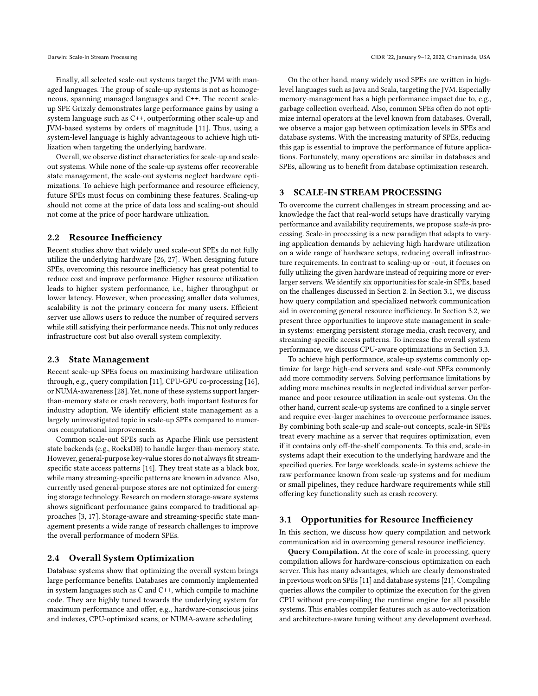Finally, all selected scale-out systems target the JVM with managed languages. The group of scale-up systems is not as homogeneous, spanning managed languages and C++. The recent scaleup SPE Grizzly demonstrates large performance gains by using a system language such as C++, outperforming other scale-up and JVM-based systems by orders of magnitude [\[11\]](#page-6-4). Thus, using a system-level language is highly advantageous to achieve high utilization when targeting the underlying hardware.

Overall, we observe distinct characteristics for scale-up and scaleout systems. While none of the scale-up systems offer recoverable state management, the scale-out systems neglect hardware optimizations. To achieve high performance and resource efficiency, future SPEs must focus on combining these features. Scaling-up should not come at the price of data loss and scaling-out should not come at the price of poor hardware utilization.

# <span id="page-2-1"></span>2.2 Resource Inefficiency

Recent studies show that widely used scale-out SPEs do not fully utilize the underlying hardware [\[26,](#page-6-1) [27\]](#page-6-2). When designing future SPEs, overcoming this resource inefficiency has great potential to reduce cost and improve performance. Higher resource utilization leads to higher system performance, i.e., higher throughput or lower latency. However, when processing smaller data volumes, scalability is not the primary concern for many users. Efficient server use allows users to reduce the number of required servers while still satisfying their performance needs. This not only reduces infrastructure cost but also overall system complexity.

## 2.3 State Management

Recent scale-up SPEs focus on maximizing hardware utilization through, e.g., query compilation [\[11\]](#page-6-4), CPU-GPU co-processing [\[16\]](#page-6-6), or NUMA-awareness [\[28\]](#page-6-5). Yet, none of these systems support largerthan-memory state or crash recovery, both important features for industry adoption. We identify efficient state management as a largely uninvestigated topic in scale-up SPEs compared to numerous computational improvements.

Common scale-out SPEs such as Apache Flink use persistent state backends (e.g., RocksDB) to handle larger-than-memory state. However, general-purpose key-value stores do not always fit streamspecific state access patterns [\[14\]](#page-6-18). They treat state as a black box, while many streaming-specific patterns are known in advance. Also, currently used general-purpose stores are not optimized for emerging storage technology. Research on modern storage-aware systems shows significant performance gains compared to traditional approaches [\[3,](#page-6-19) [17\]](#page-6-20). Storage-aware and streaming-specific state management presents a wide range of research challenges to improve the overall performance of modern SPEs.

#### <span id="page-2-2"></span>2.4 Overall System Optimization

Database systems show that optimizing the overall system brings large performance benefits. Databases are commonly implemented in system languages such as C and C++, which compile to machine code. They are highly tuned towards the underlying system for maximum performance and offer, e.g., hardware-conscious joins and indexes, CPU-optimized scans, or NUMA-aware scheduling.

On the other hand, many widely used SPEs are written in highlevel languages such as Java and Scala, targeting the JVM. Especially memory-management has a high performance impact due to, e.g., garbage collection overhead. Also, common SPEs often do not optimize internal operators at the level known from databases. Overall, we observe a major gap between optimization levels in SPEs and database systems. With the increasing maturity of SPEs, reducing this gap is essential to improve the performance of future applications. Fortunately, many operations are similar in databases and SPEs, allowing us to benefit from database optimization research.

# <span id="page-2-0"></span>3 SCALE-IN STREAM PROCESSING

To overcome the current challenges in stream processing and acknowledge the fact that real-world setups have drastically varying performance and availability requirements, we propose scale-in processing. Scale-in processing is a new paradigm that adapts to varying application demands by achieving high hardware utilization on a wide range of hardware setups, reducing overall infrastructure requirements. In contrast to scaling-up or -out, it focuses on fully utilizing the given hardware instead of requiring more or everlarger servers. We identify six opportunities for scale-in SPEs, based on the challenges discussed in Section [2.](#page-1-0) In Section [3.1,](#page-2-3) we discuss how query compilation and specialized network communication aid in overcoming general resource inefficiency. In Section [3.2,](#page-3-0) we present three opportunities to improve state management in scalein systems: emerging persistent storage media, crash recovery, and streaming-specific access patterns. To increase the overall system performance, we discuss CPU-aware optimizations in Section [3.3.](#page-4-1)

To achieve high performance, scale-up systems commonly optimize for large high-end servers and scale-out SPEs commonly add more commodity servers. Solving performance limitations by adding more machines results in neglected individual server performance and poor resource utilization in scale-out systems. On the other hand, current scale-up systems are confined to a single server and require ever-larger machines to overcome performance issues. By combining both scale-up and scale-out concepts, scale-in SPEs treat every machine as a server that requires optimization, even if it contains only off-the-shelf components. To this end, scale-in systems adapt their execution to the underlying hardware and the specified queries. For large workloads, scale-in systems achieve the raw performance known from scale-up systems and for medium or small pipelines, they reduce hardware requirements while still offering key functionality such as crash recovery.

#### <span id="page-2-3"></span>3.1 Opportunities for Resource Inefficiency

In this section, we discuss how query compilation and network communication aid in overcoming general resource inefficiency.

Query Compilation. At the core of scale-in processing, query compilation allows for hardware-conscious optimization on each server. This has many advantages, which are clearly demonstrated in previous work on SPEs [\[11\]](#page-6-4) and database systems [\[21\]](#page-6-21). Compiling queries allows the compiler to optimize the execution for the given CPU without pre-compiling the runtime engine for all possible systems. This enables compiler features such as auto-vectorization and architecture-aware tuning without any development overhead.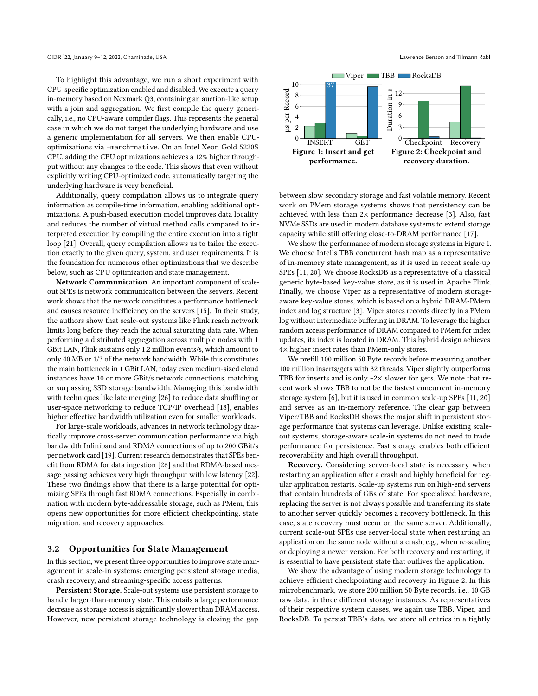To highlight this advantage, we run a short experiment with CPU-specific optimization enabled and disabled. We execute a query in-memory based on Nexmark Q3, containing an auction-like setup with a join and aggregation. We first compile the query generically, i.e., no CPU-aware compiler flags. This represents the general case in which we do not target the underlying hardware and use a generic implementation for all servers. We then enable CPUoptimizations via -march=native. On an Intel Xeon Gold 5220S CPU, adding the CPU optimizations achieves a 12% higher throughput without any changes to the code. This shows that even without explicitly writing CPU-optimized code, automatically targeting the underlying hardware is very beneficial.

Additionally, query compilation allows us to integrate query information as compile-time information, enabling additional optimizations. A push-based execution model improves data locality and reduces the number of virtual method calls compared to interpreted execution by compiling the entire execution into a tight loop [\[21\]](#page-6-21). Overall, query compilation allows us to tailor the execution exactly to the given query, system, and user requirements. It is the foundation for numerous other optimizations that we describe below, such as CPU optimization and state management.

Network Communication. An important component of scaleout SPEs is network communication between the servers. Recent work shows that the network constitutes a performance bottleneck and causes resource inefficiency on the servers [\[15\]](#page-6-22). In their study, the authors show that scale-out systems like Flink reach network limits long before they reach the actual saturating data rate. When performing a distributed aggregation across multiple nodes with 1 GBit LAN, Flink sustains only 1.2 million events/s, which amount to only 40 MB or 1/3 of the network bandwidth. While this constitutes the main bottleneck in 1 GBit LAN, today even medium-sized cloud instances have 10 or more GBit/s network connections, matching or surpassing SSD storage bandwidth. Managing this bandwidth with techniques like late merging [\[26\]](#page-6-1) to reduce data shuffling or user-space networking to reduce TCP/IP overhead [\[18\]](#page-6-23), enables higher effective bandwidth utilization even for smaller workloads.

For large-scale workloads, advances in network technology drastically improve cross-server communication performance via high bandwidth Infiniband and RDMA connections of up to 200 GBit/s per network card [\[19\]](#page-6-24). Current research demonstrates that SPEs benefit from RDMA for data ingestion [\[26\]](#page-6-1) and that RDMA-based message passing achieves very high throughput with low latency [\[22\]](#page-6-25). These two findings show that there is a large potential for optimizing SPEs through fast RDMA connections. Especially in combination with modern byte-addressable storage, such as PMem, this opens new opportunities for more efficient checkpointing, state migration, and recovery approaches.

# <span id="page-3-0"></span>3.2 Opportunities for State Management

In this section, we present three opportunities to improve state management in scale-in systems: emerging persistent storage media, crash recovery, and streaming-specific access patterns.

Persistent Storage. Scale-out systems use persistent storage to handle larger-than-memory state. This entails a large performance decrease as storage access is significantly slower than DRAM access. However, new persistent storage technology is closing the gap

<span id="page-3-1"></span>

between slow secondary storage and fast volatile memory. Recent work on PMem storage systems shows that persistency can be achieved with less than  $2\times$  performance decrease [\[3\]](#page-6-19). Also, fast NVMe SSDs are used in modern database systems to extend storage capacity while still offering close-to-DRAM performance [\[17\]](#page-6-20).

We show the performance of modern storage systems in Figure [1.](#page-3-1) We choose Intel's TBB concurrent hash map as a representative of in-memory state management, as it is used in recent scale-up SPEs [\[11,](#page-6-4) [20\]](#page-6-13). We choose RocksDB as a representative of a classical generic byte-based key-value store, as it is used in Apache Flink. Finally, we choose Viper as a representative of modern storageaware key-value stores, which is based on a hybrid DRAM-PMem index and log structure [\[3\]](#page-6-19). Viper stores records directly in a PMem log without intermediate buffering in DRAM. To leverage the higher random access performance of DRAM compared to PMem for index updates, its index is located in DRAM. This hybrid design achieves 4× higher insert rates than PMem-only stores.

We prefill 100 million 50 Byte records before measuring another 100 million inserts/gets with 32 threads. Viper slightly outperforms TBB for inserts and is only  $\sim$ 2 $\times$  slower for gets. We note that recent work shows TBB to not be the fastest concurrent in-memory storage system [\[6\]](#page-6-26), but it is used in common scale-up SPEs [\[11,](#page-6-4) [20\]](#page-6-13) and serves as an in-memory reference. The clear gap between Viper/TBB and RocksDB shows the major shift in persistent storage performance that systems can leverage. Unlike existing scaleout systems, storage-aware scale-in systems do not need to trade performance for persistence. Fast storage enables both efficient recoverability and high overall throughput.

Recovery. Considering server-local state is necessary when restarting an application after a crash and highly beneficial for regular application restarts. Scale-up systems run on high-end servers that contain hundreds of GBs of state. For specialized hardware, replacing the server is not always possible and transferring its state to another server quickly becomes a recovery bottleneck. In this case, state recovery must occur on the same server. Additionally, current scale-out SPEs use server-local state when restarting an application on the same node without a crash, e.g., when re-scaling or deploying a newer version. For both recovery and restarting, it is essential to have persistent state that outlives the application.

We show the advantage of using modern storage technology to achieve efficient checkpointing and recovery in Figure [2.](#page-3-1) In this microbenchmark, we store 200 million 50 Byte records, i.e., 10 GB raw data, in three different storage instances. As representatives of their respective system classes, we again use TBB, Viper, and RocksDB. To persist TBB's data, we store all entries in a tightly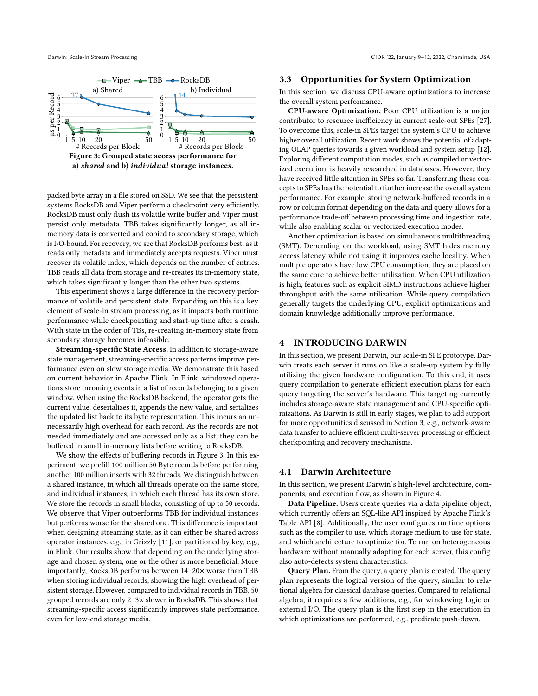<span id="page-4-2"></span>

packed byte array in a file stored on SSD. We see that the persistent systems RocksDB and Viper perform a checkpoint very efficiently. RocksDB must only flush its volatile write buffer and Viper must persist only metadata. TBB takes significantly longer, as all inmemory data is converted and copied to secondary storage, which is I/O-bound. For recovery, we see that RocksDB performs best, as it reads only metadata and immediately accepts requests. Viper must recover its volatile index, which depends on the number of entries. TBB reads all data from storage and re-creates its in-memory state, which takes significantly longer than the other two systems.

This experiment shows a large difference in the recovery performance of volatile and persistent state. Expanding on this is a key element of scale-in stream processing, as it impacts both runtime performance while checkpointing and start-up time after a crash. With state in the order of TBs, re-creating in-memory state from secondary storage becomes infeasible.

Streaming-specific State Access. In addition to storage-aware state management, streaming-specific access patterns improve performance even on slow storage media. We demonstrate this based on current behavior in Apache Flink. In Flink, windowed operations store incoming events in a list of records belonging to a given window. When using the RocksDB backend, the operator gets the current value, deserializes it, appends the new value, and serializes the updated list back to its byte representation. This incurs an unnecessarily high overhead for each record. As the records are not needed immediately and are accessed only as a list, they can be buffered in small in-memory lists before writing to RocksDB.

We show the effects of buffering records in Figure [3.](#page-4-2) In this experiment, we prefill 100 million 50 Byte records before performing another 100 million inserts with 32 threads. We distinguish between a shared instance, in which all threads operate on the same store, and individual instances, in which each thread has its own store. We store the records in small blocks, consisting of up to 50 records. We observe that Viper outperforms TBB for individual instances but performs worse for the shared one. This difference is important when designing streaming state, as it can either be shared across operator instances, e.g., in Grizzly [\[11\]](#page-6-4), or partitioned by key, e.g., in Flink. Our results show that depending on the underlying storage and chosen system, one or the other is more beneficial. More importantly, RocksDB performs between 14–20× worse than TBB when storing individual records, showing the high overhead of persistent storage. However, compared to individual records in TBB, 50 grouped records are only 2–3× slower in RocksDB. This shows that streaming-specific access significantly improves state performance, even for low-end storage media.

## <span id="page-4-1"></span>3.3 Opportunities for System Optimization

In this section, we discuss CPU-aware optimizations to increase the overall system performance.

CPU-aware Optimization. Poor CPU utilization is a major contributor to resource inefficiency in current scale-out SPEs [\[27\]](#page-6-2). To overcome this, scale-in SPEs target the system's CPU to achieve higher overall utilization. Recent work shows the potential of adapting OLAP queries towards a given workload and system setup [\[12\]](#page-6-27). Exploring different computation modes, such as compiled or vectorized execution, is heavily researched in databases. However, they have received little attention in SPEs so far. Transferring these concepts to SPEs has the potential to further increase the overall system performance. For example, storing network-buffered records in a row or column format depending on the data and query allows for a performance trade-off between processing time and ingestion rate, while also enabling scalar or vectorized execution modes.

Another optimization is based on simultaneous multithreading (SMT). Depending on the workload, using SMT hides memory access latency while not using it improves cache locality. When multiple operators have low CPU consumption, they are placed on the same core to achieve better utilization. When CPU utilization is high, features such as explicit SIMD instructions achieve higher throughput with the same utilization. While query compilation generally targets the underlying CPU, explicit optimizations and domain knowledge additionally improve performance.

# <span id="page-4-0"></span>4 INTRODUCING DARWIN

In this section, we present Darwin, our scale-in SPE prototype. Darwin treats each server it runs on like a scale-up system by fully utilizing the given hardware configuration. To this end, it uses query compilation to generate efficient execution plans for each query targeting the server's hardware. This targeting currently includes storage-aware state management and CPU-specific optimizations. As Darwin is still in early stages, we plan to add support for more opportunities discussed in Section [3,](#page-2-0) e.g., network-aware data transfer to achieve efficient multi-server processing or efficient checkpointing and recovery mechanisms.

# 4.1 Darwin Architecture

In this section, we present Darwin's high-level architecture, components, and execution flow, as shown in Figure [4.](#page-5-0)

Data Pipeline. Users create queries via a data pipeline object, which currently offers an SQL-like API inspired by Apache Flink's Table API [\[8\]](#page-6-28). Additionally, the user configures runtime options such as the compiler to use, which storage medium to use for state, and which architecture to optimize for. To run on heterogeneous hardware without manually adapting for each server, this config also auto-detects system characteristics.

Query Plan. From the query, a query plan is created. The query plan represents the logical version of the query, similar to relational algebra for classical database queries. Compared to relational algebra, it requires a few additions, e.g., for windowing logic or external I/O. The query plan is the first step in the execution in which optimizations are performed, e.g., predicate push-down.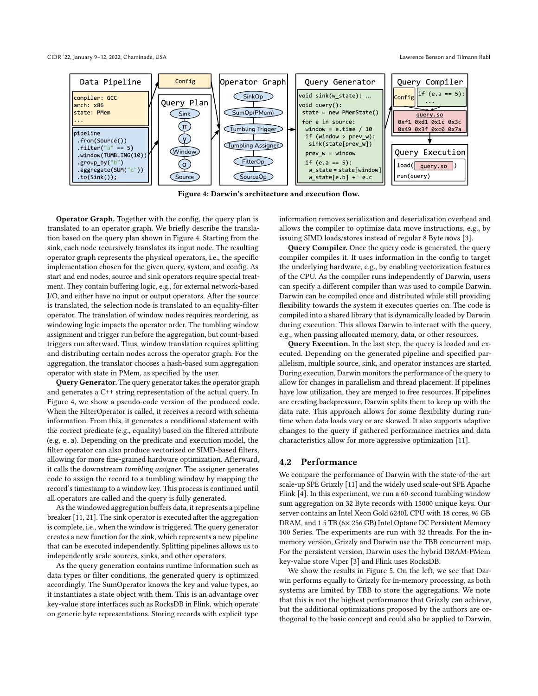<span id="page-5-0"></span>

Figure 4: Darwin's architecture and execution flow.

Operator Graph. Together with the config, the query plan is translated to an operator graph. We briefly describe the translation based on the query plan shown in Figure [4.](#page-5-0) Starting from the sink, each node recursively translates its input node. The resulting operator graph represents the physical operators, i.e., the specific implementation chosen for the given query, system, and config. As start and end nodes, source and sink operators require special treatment. They contain buffering logic, e.g., for external network-based I/O, and either have no input or output operators. After the source is translated, the selection node is translated to an equality-filter operator. The translation of window nodes requires reordering, as windowing logic impacts the operator order. The tumbling window assignment and trigger run before the aggregation, but count-based triggers run afterward. Thus, window translation requires splitting and distributing certain nodes across the operator graph. For the aggregation, the translator chooses a hash-based sum aggregation operator with state in PMem, as specified by the user.

Query Generator. The query generator takes the operator graph and generates a C++ string representation of the actual query. In Figure [4,](#page-5-0) we show a pseudo-code version of the produced code. When the FilterOperator is called, it receives a record with schema information. From this, it generates a conditional statement with the correct predicate (e.g., equality) based on the filtered attribute (e.g, e.a). Depending on the predicate and execution model, the filter operator can also produce vectorized or SIMD-based filters, allowing for more fine-grained hardware optimization. Afterward, it calls the downstream tumbling assigner. The assigner generates code to assign the record to a tumbling window by mapping the record's timestamp to a window key. This process is continued until all operators are called and the query is fully generated.

As the windowed aggregation buffers data, it represents a pipeline breaker [\[11,](#page-6-4) [21\]](#page-6-21). The sink operator is executed after the aggregation is complete, i.e., when the window is triggered. The query generator creates a new function for the sink, which represents a new pipeline that can be executed independently. Splitting pipelines allows us to independently scale sources, sinks, and other operators.

As the query generation contains runtime information such as data types or filter conditions, the generated query is optimized accordingly. The SumOperator knows the key and value types, so it instantiates a state object with them. This is an advantage over key-value store interfaces such as RocksDB in Flink, which operate on generic byte representations. Storing records with explicit type information removes serialization and deserialization overhead and allows the compiler to optimize data move instructions, e.g., by issuing SIMD loads/stores instead of regular 8 Byte movs [\[3\]](#page-6-19).

Query Compiler. Once the query code is generated, the query compiler compiles it. It uses information in the config to target the underlying hardware, e.g., by enabling vectorization features of the CPU. As the compiler runs independently of Darwin, users can specify a different compiler than was used to compile Darwin. Darwin can be compiled once and distributed while still providing flexibility towards the system it executes queries on. The code is compiled into a shared library that is dynamically loaded by Darwin during execution. This allows Darwin to interact with the query, e.g., when passing allocated memory, data, or other resources.

Query Execution. In the last step, the query is loaded and executed. Depending on the generated pipeline and specified parallelism, multiple source, sink, and operator instances are started. During execution, Darwin monitors the performance of the query to allow for changes in parallelism and thread placement. If pipelines have low utilization, they are merged to free resources. If pipelines are creating backpressure, Darwin splits them to keep up with the data rate. This approach allows for some flexibility during runtime when data loads vary or are skewed. It also supports adaptive changes to the query if gathered performance metrics and data characteristics allow for more aggressive optimization [\[11\]](#page-6-4).

# 4.2 Performance

We compare the performance of Darwin with the state-of-the-art scale-up SPE Grizzly [\[11\]](#page-6-4) and the widely used scale-out SPE Apache Flink [\[4\]](#page-6-8). In this experiment, we run a 60-second tumbling window sum aggregation on 32 Byte records with 15000 unique keys. Our server contains an Intel Xeon Gold 6240L CPU with 18 cores, 96 GB DRAM, and 1.5 TB (6× 256 GB) Intel Optane DC Persistent Memory 100 Series. The experiments are run with 32 threads. For the inmemory version, Grizzly and Darwin use the TBB concurrent map. For the persistent version, Darwin uses the hybrid DRAM-PMem key-value store Viper [\[3\]](#page-6-19) and Flink uses RocksDB.

We show the results in Figure [5.](#page-6-29) On the left, we see that Darwin performs equally to Grizzly for in-memory processing, as both systems are limited by TBB to store the aggregations. We note that this is not the highest performance that Grizzly can achieve, but the additional optimizations proposed by the authors are orthogonal to the basic concept and could also be applied to Darwin.